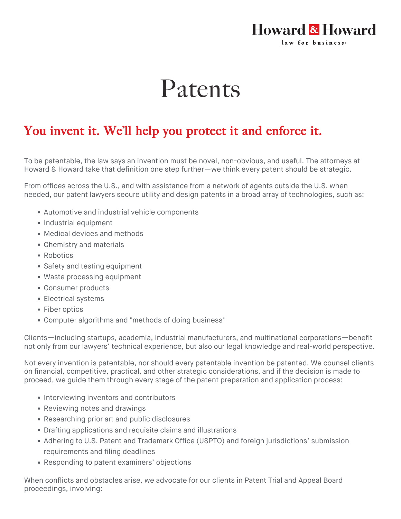## **Howard & Howard** law for business.

## Patents

## You invent it. We'll help you protect it and enforce it.

To be patentable, the law says an invention must be novel, non-obvious, and useful. The attorneys at Howard & Howard take that definition one step further—we think every patent should be strategic.

From offices across the U.S., and with assistance from a network of agents outside the U.S. when needed, our patent lawyers secure utility and design patents in a broad array of technologies, such as:

- Automotive and industrial vehicle components
- Industrial equipment
- Medical devices and methods
- Chemistry and materials
- Robotics
- Safety and testing equipment
- Waste processing equipment
- Consumer products
- Electrical systems
- Fiber optics
- Computer algorithms and "methods of doing business"

Clients—including startups, academia, industrial manufacturers, and multinational corporations—benefit not only from our lawyers' technical experience, but also our legal knowledge and real-world perspective.

Not every invention is patentable, nor should every patentable invention be patented. We counsel clients on financial, competitive, practical, and other strategic considerations, and if the decision is made to proceed, we guide them through every stage of the patent preparation and application process:

- Interviewing inventors and contributors
- Reviewing notes and drawings
- Researching prior art and public disclosures
- Drafting applications and requisite claims and illustrations
- Adhering to U.S. Patent and Trademark Office (USPTO) and foreign jurisdictions' submission requirements and filing deadlines
- Responding to patent examiners' objections

When conflicts and obstacles arise, we advocate for our clients in Patent Trial and Appeal Board proceedings, involving: